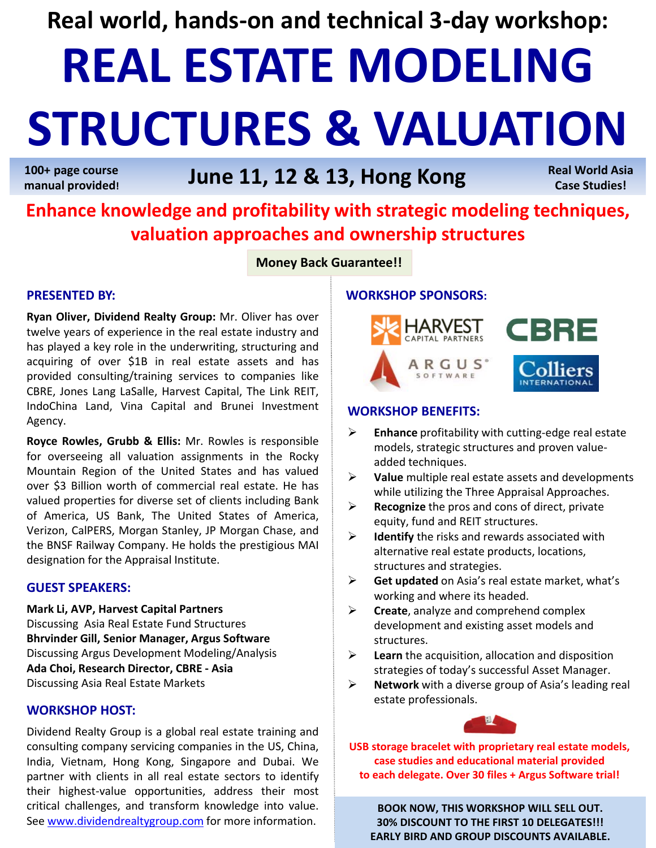**Real world, hands‐on and technical 3‐day workshop:**

# **REAL ESTATE MODELING STRUCTURES & VALUATION**

**100+ page course manual provided!**

# **June 11, 12 & 13, Hong Kong**

**Real World Asia Case Studies!**

# **Enhance knowledge and profitability with strategic modeling techniques, valuation approaches and ownership structures**

**Money Back Guarantee!!**

### **PRESENTED BY:**

**Ryan Oliver, Dividend Realty Group:** Mr. Oliver has over twelve years of experience in the real estate industry and has played a key role in the underwriting, structuring and acquiring of over \$1B in real estate assets and has provided consulting/training services to companies like CBRE, Jones Lang LaSalle, Harvest Capital, The Link REIT, IndoChina Land, Vina Capital and Brunei Investment Agency.

**Royce Rowles, Grubb & Ellis:** Mr. Rowles is responsible for overseeing all valuation assignments in the Rocky Mountain Region of the United States and has valued over \$3 Billion worth of commercial real estate. He has valued properties for diverse set of clients including Bank of America, US Bank, The United States of America, Verizon, CalPERS, Morgan Stanley, JP Morgan Chase, and the BNSF Railway Company. He holds the prestigious MAI designation for the Appraisal Institute.

## **GUEST SPEAKERS:**

**Mark Li, AVP, Harvest Capital Partners** Discussing Asia Real Estate Fund Structures **Bhrvinder Gill, Senior Manager, Argus Software** Discussing Argus Development Modeling/Analysis **Ada Choi, Research Director, CBRE ‐ Asia** Discussing Asia Real Estate Markets

## **WORKSHOP HOST:**

Dividend Realty Group is a global real estate training and consulting company servicing companies in the US, China, India, Vietnam, Hong Kong, Singapore and Dubai. We partner with clients in all real estate sectors to identify their highest‐value opportunities, address their most critical challenges, and transform knowledge into value. See www.dividendrealtygroup.com for more information.

## **WORKSHOP SPONSORS:**



### **WORKSHOP BENEFITS:**

- **Enhance** profitability with cutting‐edge real estate models, strategic structures and proven value‐ added techniques.
- **Value** multiple real estate assets and developments while utilizing the Three Appraisal Approaches.
- **Recognize** the pros and cons of direct, private equity, fund and REIT structures.
- **Identify** the risks and rewards associated with alternative real estate products, locations, structures and strategies.
- **Get updated** on Asia's real estate market, what's working and where its headed.
- **Exercise**, analyze and comprehend complex development and existing asset models and structures.
- **Learn** the acquisition, allocation and disposition strategies of today's successful Asset Manager.
- **Network** with a diverse group of Asia's leading real estate professionals.



**USB storage bracelet with proprietary real estate models, case studies and educational material provided to each delegate. Over 30 files + Argus Software trial!**

**BOOK NOW, THIS WORKSHOP WILL SELL OUT. 30% DISCOUNT TO THE FIRST 10 DELEGATES!!! EARLY BIRD AND GROUP DISCOUNTS AVAILABLE.**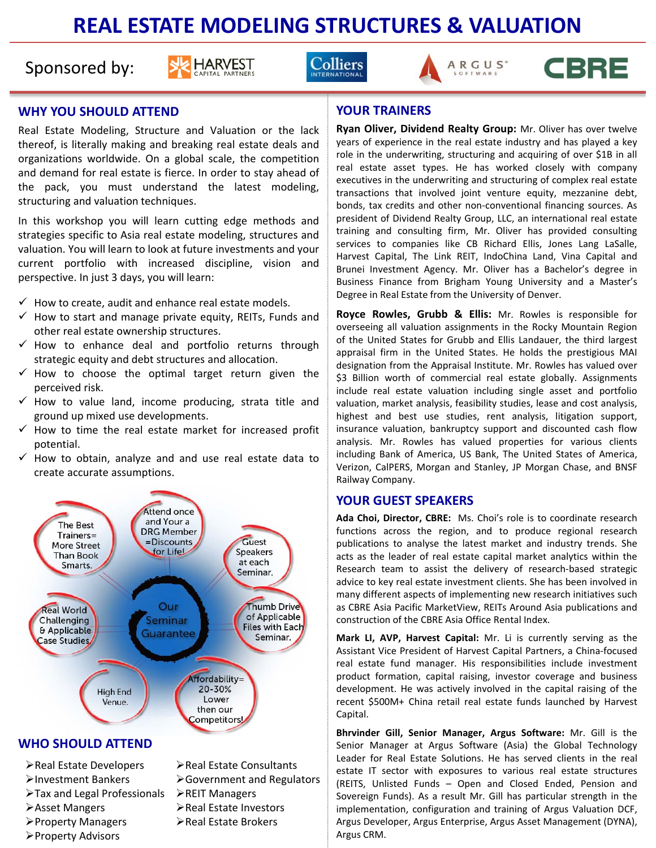# **REAL ESTATE MODELING STRUCTURES & VALUATION**

# Sponsored by:









## **WHY YOU SHOULD ATTEND**

Real Estate Modeling, Structure and Valuation or the lack thereof, is literally making and breaking real estate deals and organizations worldwide. On a global scale, the competition and demand for real estate is fierce. In order to stay ahead of the pack, you must understand the latest modeling, structuring and valuation techniques.

In this workshop you will learn cutting edge methods and strategies specific to Asia real estate modeling, structures and valuation. You will learn to look at future investments and your current portfolio with increased discipline, vision and perspective. In just 3 days, you will learn:

- $\checkmark$  How to create, audit and enhance real estate models.
- $\checkmark$  How to start and manage private equity, REITs, Funds and other real estate ownership structures.
- $\checkmark$  How to enhance deal and portfolio returns through strategic equity and debt structures and allocation.
- $\checkmark$  How to choose the optimal target return given the perceived risk.
- $\checkmark$  How to value land, income producing, strata title and ground up mixed use developments.
- $\checkmark$  How to time the real estate market for increased profit potential.
- $\checkmark$  How to obtain, analyze and and use real estate data to create accurate assumptions.



Property Advisors

#### **YOUR TRAINERS**

**Ryan Oliver, Dividend Realty Group:** Mr. Oliver has over twelve years of experience in the real estate industry and has played a key role in the underwriting, structuring and acquiring of over \$1B in all real estate asset types. He has worked closely with company executives in the underwriting and structuring of complex real estate transactions that involved joint venture equity, mezzanine debt, bonds, tax credits and other non‐conventional financing sources. As president of Dividend Realty Group, LLC, an international real estate training and consulting firm, Mr. Oliver has provided consulting services to companies like CB Richard Ellis, Jones Lang LaSalle, Harvest Capital, The Link REIT, IndoChina Land, Vina Capital and Brunei Investment Agency. Mr. Oliver has a Bachelor's degree in Business Finance from Brigham Young University and a Master's Degree in Real Estate from the University of Denver.

**Royce Rowles, Grubb & Ellis:** Mr. Rowles is responsible for overseeing all valuation assignments in the Rocky Mountain Region of the United States for Grubb and Ellis Landauer, the third largest appraisal firm in the United States. He holds the prestigious MAI designation from the Appraisal Institute. Mr. Rowles has valued over \$3 Billion worth of commercial real estate globally. Assignments include real estate valuation including single asset and portfolio valuation, market analysis, feasibility studies, lease and cost analysis, highest and best use studies, rent analysis, litigation support, insurance valuation, bankruptcy support and discounted cash flow analysis. Mr. Rowles has valued properties for various clients including Bank of America, US Bank, The United States of America, Verizon, CalPERS, Morgan and Stanley, JP Morgan Chase, and BNSF Railway Company.

#### **YOUR GUEST SPEAKERS**

**Ada Choi, Director, CBRE:** Ms. Choi's role is to coordinate research functions across the region, and to produce regional research publications to analyse the latest market and industry trends. She acts as the leader of real estate capital market analytics within the Research team to assist the delivery of research-based strategic advice to key real estate investment clients. She has been involved in many different aspects of implementing new research initiatives such as CBRE Asia Pacific MarketView, REITs Around Asia publications and construction of the CBRE Asia Office Rental Index.

**Mark LI, AVP, Harvest Capital:** Mr. Li is currently serving as the Assistant Vice President of Harvest Capital Partners, a China‐focused real estate fund manager. His responsibilities include investment product formation, capital raising, investor coverage and business development. He was actively involved in the capital raising of the recent \$500M+ China retail real estate funds launched by Harvest Capital.

**Bhrvinder Gill, Senior Manager, Argus Software:** Mr. Gill is the Senior Manager at Argus Software (Asia) the Global Technology Leader for Real Estate Solutions. He has served clients in the real estate IT sector with exposures to various real estate structures (REITS, Unlisted Funds – Open and Closed Ended, Pension and Sovereign Funds). As a result Mr. Gill has particular strength in the implementation, configuration and training of Argus Valuation DCF, Argus Developer, Argus Enterprise, Argus Asset Management (DYNA), Argus CRM.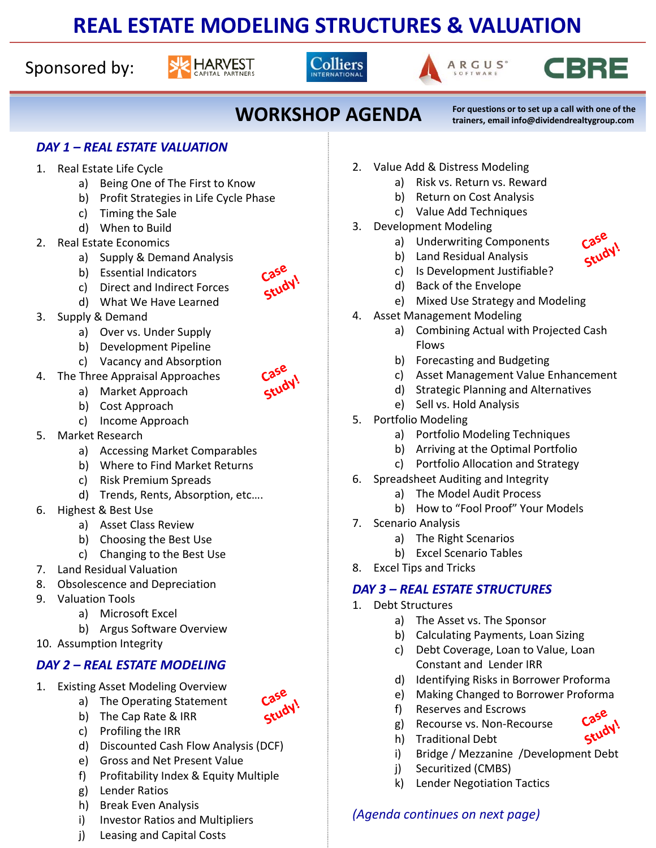# **REAL ESTATE MODELING STRUCTURES & VALUATION**

Sponsored by:









Case Study!

**WORKSHOP AGENDA For questions or to set up <sup>a</sup> call with one of the**

**trainers, email info@dividendrealtygroup.com**

## *DAY 1 – REAL ESTATE VALUATION*

- 1. Real Estate Life Cycle
	- a) Being One of The First to Know
	- b) Profit Strategies in Life Cycle Phase
	- c) Timing the Sale
	- d) When to Build
- 2. Real Estate Economics
	- a) Supply & Demand Analysis
	- b) Essential Indicators
	- c) Direct and Indirect Forces
	- d) What We Have Learned
- 3. Supply & Demand
	- a) Over vs. Under Supply
	- b) Development Pipeline
	- c) Vacancy and Absorption
- 4. The Three Appraisal Approaches
	- a) Market Approach
	- b) Cost Approach
	- c) Income Approach
- 5. Market Research
	- a) Accessing Market Comparables
	- b) Where to Find Market Returns
	- c) Risk Premium Spreads
	- d) Trends, Rents, Absorption, etc….
- 6. Highest & Best Use
	- a) Asset Class Review
	- b) Choosing the Best Use
	- c) Changing to the Best Use
- 7. Land Residual Valuation
- 8. Obsolescence and Depreciation
- 9. Valuation Tools
	- a) Microsoft Excel
	- b) Argus Software Overview
- 10. Assumption Integrity

## *DAY 2 – REAL ESTATE MODELING*

- 1. Existing Asset Modeling Overview
	- a) The Operating Statement b) The Cap Rate & IRR
- Study

Study

Case Study!

- c) Profiling the IRR
- d) Discounted Cash Flow Analysis (DCF)
- e) Gross and Net Present Value
- f) Profitability Index & Equity Multiple
- g) Lender Ratios
- h) Break Even Analysis
- i) Investor Ratios and Multipliers
- j) Leasing and Capital Costs
- 2. Value Add & Distress Modeling
	- a) Risk vs. Return vs. Reward
	- b) Return on Cost Analysis
	- c) Value Add Techniques
- 3. Development Modeling
	- a) Underwriting Components
	- b) Land Residual Analysis
	- c) Is Development Justifiable?
	- d) Back of the Envelope
	- e) Mixed Use Strategy and Modeling
- 4. Asset Management Modeling
	- a) Combining Actual with Projected Cash Flows
	- b) Forecasting and Budgeting
	- c) Asset Management Value Enhancement
	- d) Strategic Planning and Alternatives
	- e) Sell vs. Hold Analysis
- 5. Portfolio Modeling
	- a) Portfolio Modeling Techniques
	- b) Arriving at the Optimal Portfolio
	- c) Portfolio Allocation and Strategy
- 6. Spreadsheet Auditing and Integrity
	- a) The Model Audit Process
	- b) How to "Fool Proof" Your Models
- 7. Scenario Analysis
	- a) The Right Scenarios
	- b) Excel Scenario Tables
- 8. Excel Tips and Tricks

## *DAY 3 – REAL ESTATE STRUCTURES*

- 1. Debt Structures
	- a) The Asset vs. The Sponsor
	- b) Calculating Payments, Loan Sizing
	- c) Debt Coverage, Loan to Value, Loan Constant and Lender IRR
	- d) Identifying Risks in Borrower Proforma
	- e) Making Changed to Borrower Proforma
	- f) Reserves and Escrows
	- g) Recourse vs. Non‐Recourse
	- h) Traditional Debt
	- i) Bridge / Mezzanine /Development Debt
	- j) Securitized (CMBS)
	- k) Lender Negotiation Tactics

# *(Agenda continues on next page)*